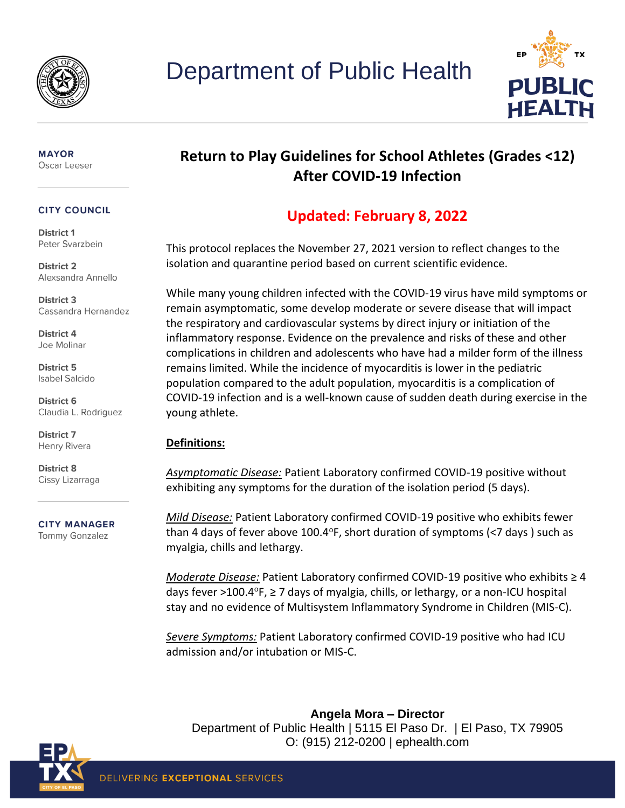



#### **MAYOR** Oscar Leeser

#### **CITY COUNCIL**

District 1 Peter Svarzbein

**District 2** Alexsandra Annello

District 3 Cassandra Hernandez

District 4 Joe Molinar

District 5 **Isabel Salcido** 

District 6 Claudia L. Rodriguez

District 7 Henry Rivera

District 8 Cissy Lizarraga

**CITY MANAGER Tommy Gonzalez** 

# **Return to Play Guidelines for School Athletes (Grades <12) After COVID-19 Infection**

# **Updated: February 8, 2022**

This protocol replaces the November 27, 2021 version to reflect changes to the isolation and quarantine period based on current scientific evidence.

While many young children infected with the COVID-19 virus have mild symptoms or remain asymptomatic, some develop moderate or severe disease that will impact the respiratory and cardiovascular systems by direct injury or initiation of the inflammatory response. Evidence on the prevalence and risks of these and other complications in children and adolescents who have had a milder form of the illness remains limited. While the incidence of myocarditis is lower in the pediatric population compared to the adult population, myocarditis is a complication of COVID-19 infection and is a well-known cause of sudden death during exercise in the young athlete.

## **Definitions:**

*Asymptomatic Disease:* Patient Laboratory confirmed COVID-19 positive without exhibiting any symptoms for the duration of the isolation period (5 days).

*Mild Disease:* Patient Laboratory confirmed COVID-19 positive who exhibits fewer than 4 days of fever above 100.4 $\degree$ F, short duration of symptoms (<7 days) such as myalgia, chills and lethargy.

*Moderate Disease:* Patient Laboratory confirmed COVID-19 positive who exhibits ≥ 4 days fever >100.4 $\textdegree$ F,  $\geq$  7 days of myalgia, chills, or lethargy, or a non-ICU hospital stay and no evidence of Multisystem Inflammatory Syndrome in Children (MIS-C).

*Severe Symptoms:* Patient Laboratory confirmed COVID-19 positive who had ICU admission and/or intubation or MIS-C.

**Angela Mora – Director**  Department of Public Health | 5115 El Paso Dr. | El Paso, TX 79905 O: (915) 212-0200 | ephealth.com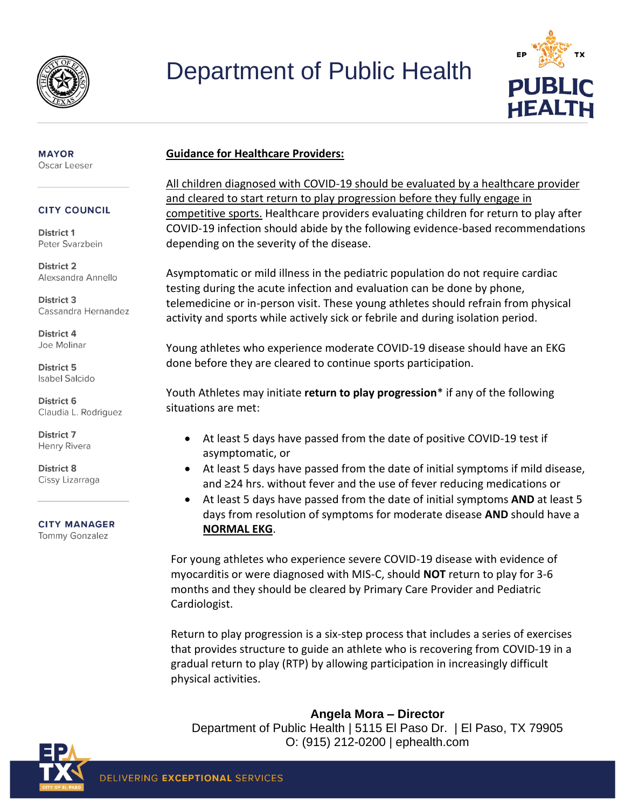

# Department of Public Health



### **Guidance for Healthcare Providers:**

All children diagnosed with COVID-19 should be evaluated by a healthcare provider and cleared to start return to play progression before they fully engage in competitive sports. Healthcare providers evaluating children for return to play after COVID-19 infection should abide by the following evidence-based recommendations depending on the severity of the disease.

Asymptomatic or mild illness in the pediatric population do not require cardiac testing during the acute infection and evaluation can be done by phone, telemedicine or in-person visit. These young athletes should refrain from physical activity and sports while actively sick or febrile and during isolation period.

Young athletes who experience moderate COVID-19 disease should have an EKG done before they are cleared to continue sports participation.

Youth Athletes may initiate **return to play progression**\* if any of the following situations are met:

- At least 5 days have passed from the date of positive COVID-19 test if asymptomatic, or
- At least 5 days have passed from the date of initial symptoms if mild disease, and ≥24 hrs. without fever and the use of fever reducing medications or
- At least 5 days have passed from the date of initial symptoms **AND** at least 5 days from resolution of symptoms for moderate disease **AND** should have a **NORMAL EKG**.

For young athletes who experience severe COVID-19 disease with evidence of myocarditis or were diagnosed with MIS-C, should **NOT** return to play for 3-6 months and they should be cleared by Primary Care Provider and Pediatric Cardiologist.

Return to play progression is a six‐step process that includes a series of exercises that provides structure to guide an athlete who is recovering from COVID-19 in a gradual return to play (RTP) by allowing participation in increasingly difficult physical activities.

## **Angela Mora – Director**

Department of Public Health | 5115 El Paso Dr. | El Paso, TX 79905 O: (915) 212-0200 | ephealth.com



**MAYOR** Oscar Leeser

#### **CITY COUNCIL**

District 1 Peter Svarzbein

**District 2** Alexsandra Annello

District 3 Cassandra Hernandez

District 4 Joe Molinar

District 5 **Isabel Salcido** 

District 6 Claudia L. Rodriguez

District 7 Henry Rivera

District 8 Cissy Lizarraga

**CITY MANAGER** Tommy Gonzalez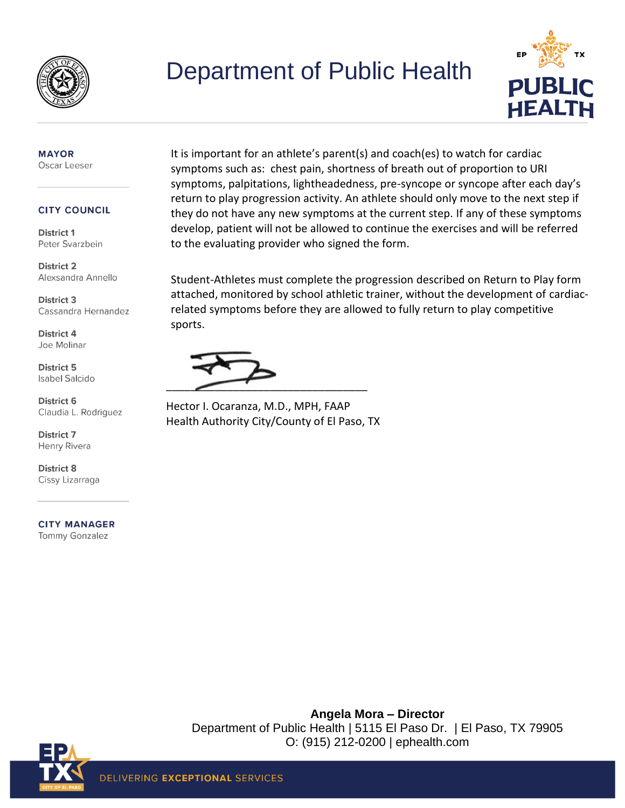

# Department of Public Health



#### **MAYOR** Oscar Leeser

#### **CITY COUNCIL**

District 1 Peter Svarzbein

**District 2** Alexsandra Annello

District 3 Cassandra Hernandez

District 4 Joe Molinar

**District 5 Isabel Salcido** 

District 6 Claudia L. Rodriguez

**District 7** Henry Rivera

District 8 Cissy Lizarraga

**CITY MANAGER** Tommy Gonzalez

It is important for an athlete's parent(s) and coach(es) to watch for cardiac symptoms such as: chest pain, shortness of breath out of proportion to URI symptoms, palpitations, lightheadedness, pre-syncope or syncope after each day's return to play progression activity. An athlete should only move to the next step if they do not have any new symptoms at the current step. If any of these symptoms develop, patient will not be allowed to continue the exercises and will be referred to the evaluating provider who signed the form.

Student-Athletes must complete the progression described on Return to Play form attached, monitored by school athletic trainer, without the development of cardiacrelated symptoms before they are allowed to fully return to play competitive sports.

 $\overbrace{\phantom{aaaaaaa}}$ 

Hector I. Ocaranza, M.D., MPH, FAAP Health Authority City/County of El Paso, TX

> **Angela Mora – Director**  Department of Public Health | 5115 El Paso Dr. | El Paso, TX 79905 O: (915) 212-0200 | ephealth.com

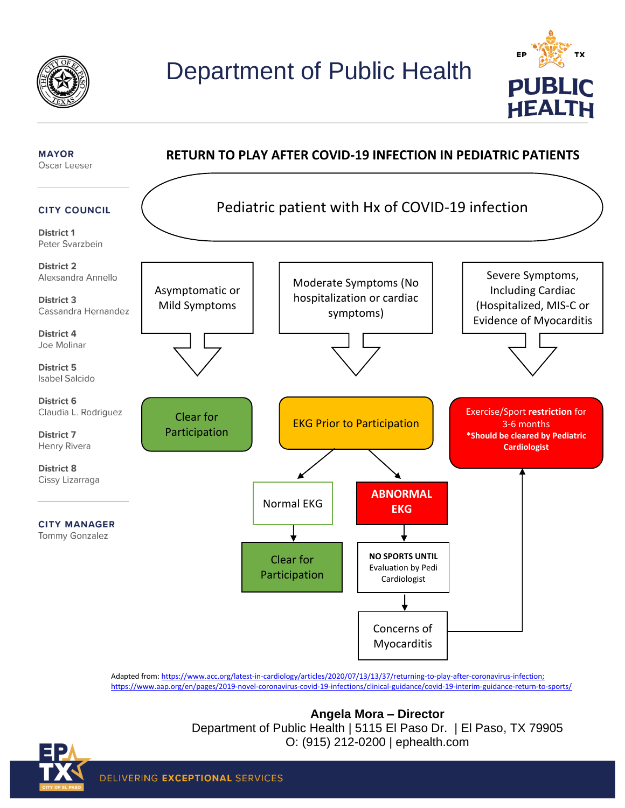





Adapted from[: https://www.acc.org/latest-in-cardiology/articles/2020/07/13/13/37/returning-to-play-after-coronavirus-infection;](https://www.acc.org/latest-in-cardiology/articles/2020/07/13/13/37/returning-to-play-after-coronavirus-infection) <https://www.aap.org/en/pages/2019-novel-coronavirus-covid-19-infections/clinical-guidance/covid-19-interim-guidance-return-to-sports/>



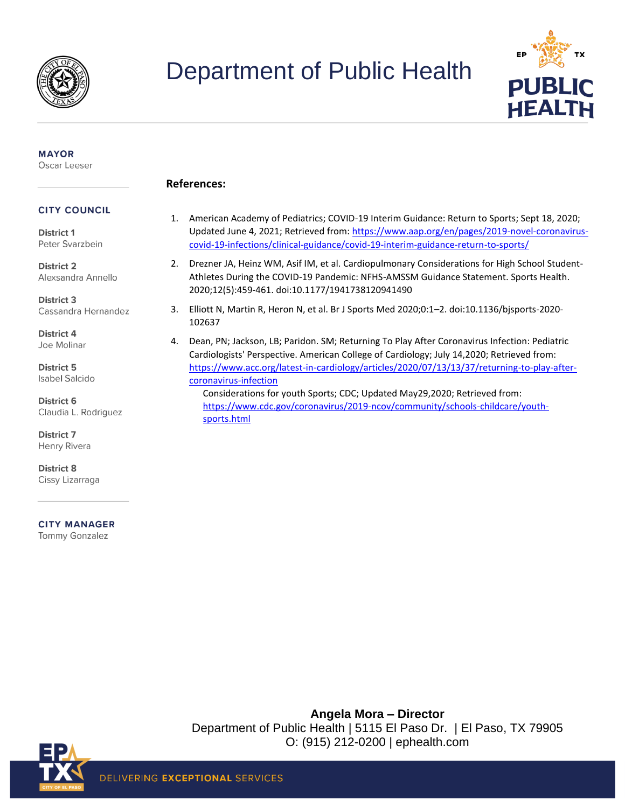

# Department of Public Health



#### **MAYOR** Oscar Leeser

#### **References:**

#### **CITY COUNCIL**

District 1 Peter Svarzbein

**District 2** Alexsandra Annello

**District 3** Cassandra Hernandez

District 4 Joe Molinar

District 5 **Isabel Salcido** 

District 6 Claudia L. Rodriguez

District 7 Henry Rivera

**District 8** Cissy Lizarraga

**CITY MANAGER** 

Tommy Gonzalez

## 1. American Academy of Pediatrics; COVID-19 Interim Guidance: Return to Sports; Sept 18, 2020; Updated June 4, 2021; Retrieved from: [https://www.aap.org/en/pages/2019-novel-coronavirus](https://www.aap.org/en/pages/2019-novel-coronavirus-covid-19-infections/clinical-guidance/covid-19-interim-guidance-return-to-sports/)[covid-19-infections/clinical-guidance/covid-19-interim-guidance-return-to-sports/](https://www.aap.org/en/pages/2019-novel-coronavirus-covid-19-infections/clinical-guidance/covid-19-interim-guidance-return-to-sports/)

- 2. Drezner JA, Heinz WM, Asif IM, et al. Cardiopulmonary Considerations for High School Student-Athletes During the COVID-19 Pandemic: NFHS-AMSSM Guidance Statement. Sports Health. 2020;12(5):459-461. doi:10.1177/1941738120941490
- 3. Elliott N, Martin R, Heron N, et al. Br J Sports Med 2020;0:1–2. doi:10.1136/bjsports-2020- 102637
- 4. Dean, PN; Jackson, LB; Paridon. SM; Returning To Play After Coronavirus Infection: Pediatric Cardiologists' Perspective. American College of Cardiology; July 14,2020; Retrieved from: [https://www.acc.org/latest-in-cardiology/articles/2020/07/13/13/37/returning-to-play-after](https://www.acc.org/latest-in-cardiology/articles/2020/07/13/13/37/returning-to-play-after-coronavirus-infection)[coronavirus-infection](https://www.acc.org/latest-in-cardiology/articles/2020/07/13/13/37/returning-to-play-after-coronavirus-infection) Considerations for youth Sports; CDC; Updated May29,2020; Retrieved from:

[https://www.cdc.gov/coronavirus/2019-ncov/community/schools-childcare/youth](https://www.cdc.gov/coronavirus/2019-ncov/community/schools-childcare/youth-sports.html)[sports.html](https://www.cdc.gov/coronavirus/2019-ncov/community/schools-childcare/youth-sports.html)

**Angela Mora – Director**  Department of Public Health | 5115 El Paso Dr. | El Paso, TX 79905 O: (915) 212-0200 | ephealth.com

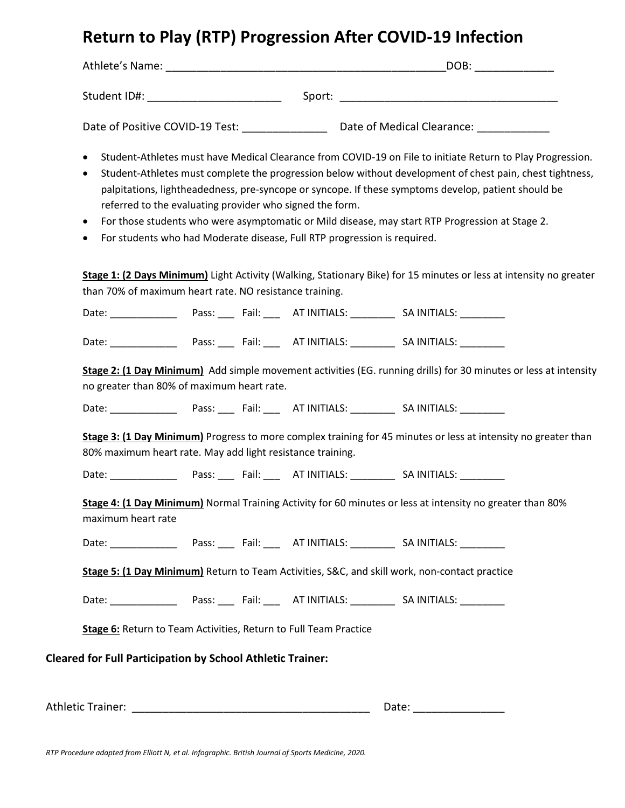# **Return to Play (RTP) Progression After COVID-19 Infection**

| Athlete's Name:                 |        | DOB:                       |
|---------------------------------|--------|----------------------------|
| Student ID#:                    | Sport: |                            |
| Date of Positive COVID-19 Test: |        | Date of Medical Clearance: |

- Student-Athletes must have Medical Clearance from COVID-19 on File to initiate Return to Play Progression.
- Student-Athletes must complete the progression below without development of chest pain, chest tightness, palpitations, lightheadedness, pre-syncope or syncope. If these symptoms develop, patient should be referred to the evaluating provider who signed the form.
- For those students who were asymptomatic or Mild disease, may start RTP Progression at Stage 2.
- For students who had Moderate disease, Full RTP progression is required.

**Stage 1: (2 Days Minimum)** Light Activity (Walking, Stationary Bike) for 15 minutes or less at intensity no greater than 70% of maximum heart rate. NO resistance training.

Date: \_\_\_\_\_\_\_\_\_\_\_\_ Pass: \_\_\_ Fail: \_\_\_ AT INITIALS: \_\_\_\_\_\_\_\_ SA INITIALS: \_\_\_\_\_\_\_\_

Date: \_\_\_\_\_\_\_\_\_\_\_\_ Pass: \_\_\_ Fail: \_\_\_ AT INITIALS: \_\_\_\_\_\_\_\_ SA INITIALS: \_\_\_\_\_\_\_\_

**Stage 2: (1 Day Minimum)** Add simple movement activities (EG. running drills) for 30 minutes or less at intensity no greater than 80% of maximum heart rate.

Date: \_\_\_\_\_\_\_\_\_\_\_\_ Pass: \_\_\_ Fail: \_\_\_ AT INITIALS: \_\_\_\_\_\_\_\_ SA INITIALS: \_\_\_\_\_\_\_\_

**Stage 3: (1 Day Minimum)** Progress to more complex training for 45 minutes or less at intensity no greater than 80% maximum heart rate. May add light resistance training.

Date: \_\_\_\_\_\_\_\_\_\_\_\_ Pass: \_\_\_ Fail: \_\_\_ AT INITIALS: \_\_\_\_\_\_\_\_ SA INITIALS: \_\_\_\_\_\_\_\_

**Stage 4: (1 Day Minimum)** Normal Training Activity for 60 minutes or less at intensity no greater than 80% maximum heart rate

Date: \_\_\_\_\_\_\_\_\_\_\_\_ Pass: \_\_\_ Fail: \_\_\_ AT INITIALS: \_\_\_\_\_\_\_\_ SA INITIALS: \_\_\_\_\_\_\_\_

**Stage 5: (1 Day Minimum)** Return to Team Activities, S&C, and skill work, non-contact practice

Date: \_\_\_\_\_\_\_\_\_\_\_\_ Pass: \_\_\_ Fail: \_\_\_ AT INITIALS: \_\_\_\_\_\_\_\_ SA INITIALS: \_\_\_\_\_\_\_\_

**Stage 6:** Return to Team Activities, Return to Full Team Practice

**Cleared for Full Participation by School Athletic Trainer:** 

Athletic Trainer: **Athletic Trainer: Athletic Trainer: Athletic** Trainer: **Athletic** Trainer: **Athletic** Trainer: **Athletic** Trainer: **Athletic** Trainer: **Athletic** Trainer: **Athletic** Trainer: **Athletic** Trainer: **Ath** 

*RTP Procedure adapted from Elliott N, et al. Infographic. British Journal of Sports Medicine, 2020.*